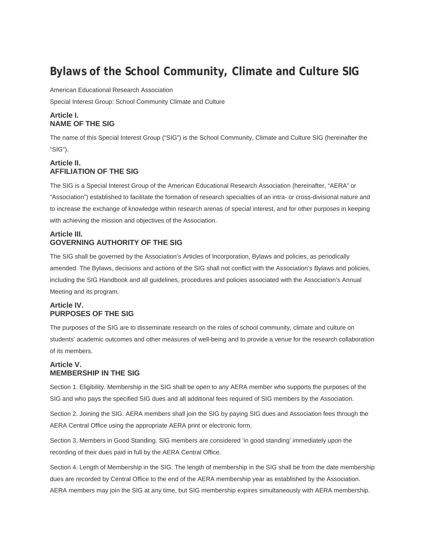# **Bylaws of the School Community, Climate and Culture SIG**

American Educational Research Association

Special Interest Group: School Community Climate and Culture

# **Article I. NAME OF THE SIG**

The name of this Special Interest Group ("SIG") is the School Community, Climate and Culture SIG (hereinafter the "SIG").

# **Article II. AFFILIATION OF THE SIG**

The SIG is a Special Interest Group of the American Educational Research Association (hereinafter, "AERA" or "Association") established to facilitate the formation of research specialties of an intra- or cross-divisional nature and to increase the exchange of knowledge within research arenas of special interest, and for other purposes in keeping with achieving the mission and objectives of the Association.

# **Article III. GOVERNING AUTHORITY OF THE SIG**

The SIG shall be governed by the Association's Articles of Incorporation, Bylaws and policies, as periodically amended. The Bylaws, decisions and actions of the SIG shall not conflict with the Association's Bylaws and policies, including the SIG Handbook and all guidelines, procedures and policies associated with the Association's Annual Meeting and its program.

# **Article IV. PURPOSES OF THE SIG**

The purposes of the SIG are to disseminate research on the roles of school community, climate and culture on students' academic outcomes and other measures of well-being and to provide a venue for the research collaboration of its members.

# **Article V. MEMBERSHIP IN THE SIG**

Section 1. Eligibility. Membership in the SIG shall be open to any AERA member who supports the purposes of the SIG and who pays the specified SIG dues and all additional fees required of SIG members by the Association.

Section 2. Joining the SIG. AERA members shall join the SIG by paying SIG dues and Association fees through the AERA Central Office using the appropriate AERA print or electronic form.

Section 3. Members in Good Standing. SIG members are considered 'in good standing' immediately upon the recording of their dues paid in full by the AERA Central Office.

Section 4. Length of Membership in the SIG. The length of membership in the SIG shall be from the date membership dues are recorded by Central Office to the end of the AERA membership year as established by the Association. AERA members may join the SIG at any time, but SIG membership expires simultaneously with AERA membership.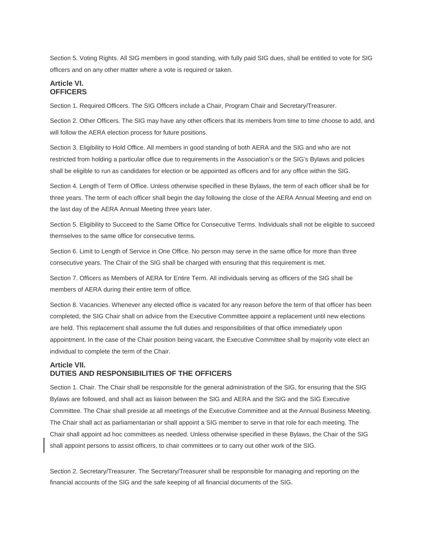Section 5. Voting Rights. All SIG members in good standing, with fully paid SIG dues, shall be entitled to vote for SIG officers and on any other matter where a vote is required or taken.

#### **Article VI. OFFICERS**

Section 1. Required Officers. The SIG Officers include a Chair, Program Chair and Secretary/Treasurer.

Section 2. Other Officers. The SIG may have any other officers that its members from time to time choose to add, and will follow the AERA election process for future positions.

Section 3. Eligibility to Hold Office. All members in good standing of both AERA and the SIG and who are not restricted from holding a particular office due to requirements in the Association's or the SIG's Bylaws and policies shall be eligible to run as candidates for election or be appointed as officers and for any office within the SIG.

Section 4. Length of Term of Office. Unless otherwise specified in these Bylaws, the term of each officer shall be for three years. The term of each officer shall begin the day following the close of the AERA Annual Meeting and end on the last day of the AERA Annual Meeting three years later.

Section 5. Eligibility to Succeed to the Same Office for Consecutive Terms. Individuals shall not be eligible to succeed themselves to the same office for consecutive terms.

Section 6. Limit to Length of Service in One Office. No person may serve in the same office for more than three consecutive years. The Chair of the SIG shall be charged with ensuring that this requirement is met.

Section 7. Officers as Members of AERA for Entire Term. All individuals serving as officers of the SIG shall be members of AERA during their entire term of office.

Section 8. Vacancies. Whenever any elected office is vacated for any reason before the term of that officer has been completed, the SIG Chair shall on advice from the Executive Committee appoint a replacement until new elections are held. This replacement shall assume the full duties and responsibilities of that office immediately upon appointment. In the case of the Chair position being vacant, the Executive Committee shall by majority vote elect an individual to complete the term of the Chair.

## **Article VII. DUTIES AND RESPONSIBILITIES OF THE OFFICERS**

Section 1. Chair. The Chair shall be responsible for the general administration of the SIG, for ensuring that the SIG Bylaws are followed, and shall act as liaison between the SIG and AERA and the SIG and the SIG Executive Committee. The Chair shall preside at all meetings of the Executive Committee and at the Annual Business Meeting. The Chair shall act as parliamentarian or shall appoint a SIG member to serve in that role for each meeting. The Chair shall appoint ad hoc committees as needed. Unless otherwise specified in these Bylaws, the Chair of the SIG shall appoint persons to assist officers, to chair committees or to carry out other work of the SIG.

Section 2. Secretary/Treasurer. The Secretary/Treasurer shall be responsible for managing and reporting on the financial accounts of the SIG and the safe keeping of all financial documents of the SIG.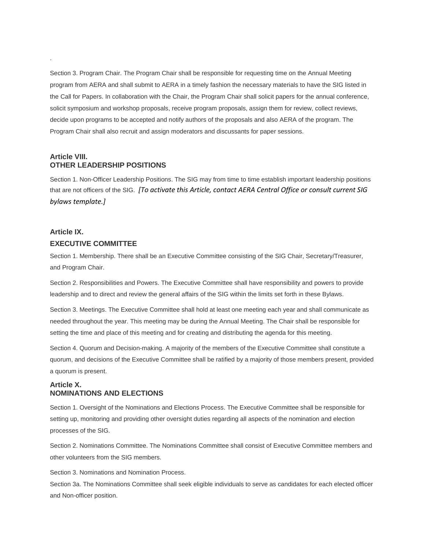Section 3. Program Chair. The Program Chair shall be responsible for requesting time on the Annual Meeting program from AERA and shall submit to AERA in a timely fashion the necessary materials to have the SIG listed in the Call for Papers. In collaboration with the Chair, the Program Chair shall solicit papers for the annual conference, solicit symposium and workshop proposals, receive program proposals, assign them for review, collect reviews, decide upon programs to be accepted and notify authors of the proposals and also AERA of the program. The Program Chair shall also recruit and assign moderators and discussants for paper sessions.

### **Article VIII. OTHER LEADERSHIP POSITIONS**

Section 1. Non-Officer Leadership Positions. The SIG may from time to time establish important leadership positions that are not officers of the SIG. *[To activate this Article, contact AERA Central Office or consult current SIG bylaws template.]*

#### **Article IX.**

.

#### **EXECUTIVE COMMITTEE**

Section 1. Membership. There shall be an Executive Committee consisting of the SIG Chair, Secretary/Treasurer, and Program Chair.

Section 2. Responsibilities and Powers. The Executive Committee shall have responsibility and powers to provide leadership and to direct and review the general affairs of the SIG within the limits set forth in these Bylaws.

Section 3. Meetings. The Executive Committee shall hold at least one meeting each year and shall communicate as needed throughout the year. This meeting may be during the Annual Meeting. The Chair shall be responsible for setting the time and place of this meeting and for creating and distributing the agenda for this meeting.

Section 4. Quorum and Decision-making. A majority of the members of the Executive Committee shall constitute a quorum, and decisions of the Executive Committee shall be ratified by a majority of those members present, provided a quorum is present.

# **Article X. NOMINATIONS AND ELECTIONS**

Section 1. Oversight of the Nominations and Elections Process. The Executive Committee shall be responsible for setting up, monitoring and providing other oversight duties regarding all aspects of the nomination and election processes of the SIG.

Section 2. Nominations Committee. The Nominations Committee shall consist of Executive Committee members and other volunteers from the SIG members.

Section 3. Nominations and Nomination Process.

Section 3a. The Nominations Committee shall seek eligible individuals to serve as candidates for each elected officer and Non-officer position.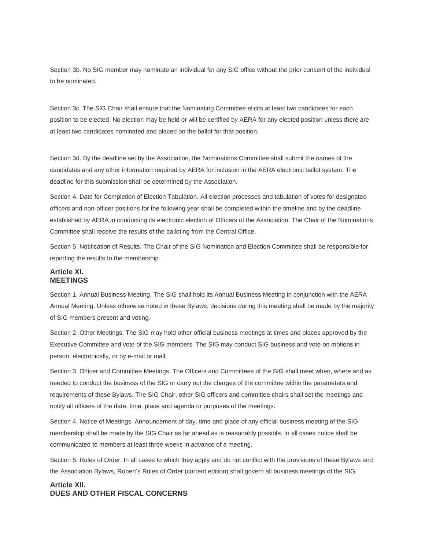Section 3b. No SIG member may nominate an individual for any SIG office without the prior consent of the individual to be nominated.

Section 3c. The SIG Chair shall ensure that the Nominating Committee elicits at least two candidates for each position to be elected. No election may be held or will be certified by AERA for any elected position unless there are at least two candidates nominated and placed on the ballot for that position.

Section 3d. By the deadline set by the Association, the Nominations Committee shall submit the names of the candidates and any other information required by AERA for inclusion in the AERA electronic ballot system. The deadline for this submission shall be determined by the Association.

Section 4. Date for Completion of Election Tabulation. All election processes and tabulation of votes for designated officers and non-officer positions for the following year shall be completed within the timeline and by the deadline established by AERA in conducting its electronic election of Officers of the Association. The Chair of the Nominations Committee shall receive the results of the balloting from the Central Office.

Section 5. Notification of Results. The Chair of the SIG Nomination and Election Committee shall be responsible for reporting the results to the membership.

#### **Article XI. MEETINGS**

Section 1. Annual Business Meeting. The SIG shall hold its Annual Business Meeting in conjunction with the AERA Annual Meeting. Unless otherwise noted in these Bylaws, decisions during this meeting shall be made by the majority of SIG members present and voting.

Section 2. Other Meetings. The SIG may hold other official business meetings at times and places approved by the Executive Committee and vote of the SIG members. The SIG may conduct SIG business and vote on motions in person, electronically, or by e-mail or mail.

Section 3. Officer and Committee Meetings. The Officers and Committees of the SIG shall meet when, where and as needed to conduct the business of the SIG or carry out the charges of the committee within the parameters and requirements of these Bylaws. The SIG Chair, other SIG officers and committee chairs shall set the meetings and notify all officers of the date, time, place and agenda or purposes of the meetings.

Section 4. Notice of Meetings. Announcement of day, time and place of any official business meeting of the SIG membership shall be made by the SIG Chair as far ahead as is reasonably possible. In all cases notice shall be communicated to members at least three weeks in advance of a meeting.

Section 5. Rules of Order. In all cases to which they apply and do not conflict with the provisions of these Bylaws and the Association Bylaws, Robert's Rules of Order (current edition) shall govern all business meetings of the SIG.

# **Article XII. DUES AND OTHER FISCAL CONCERNS**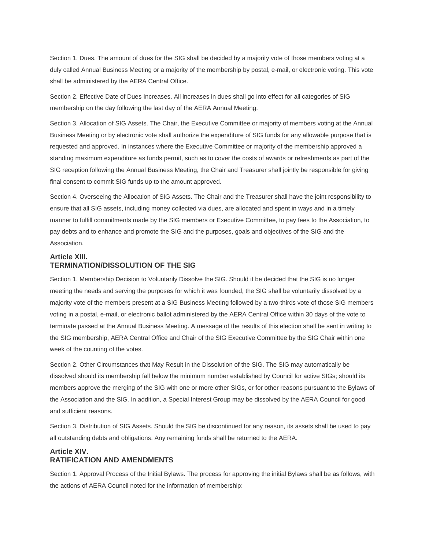Section 1. Dues. The amount of dues for the SIG shall be decided by a majority vote of those members voting at a duly called Annual Business Meeting or a majority of the membership by postal, e-mail, or electronic voting. This vote shall be administered by the AERA Central Office.

Section 2. Effective Date of Dues Increases. All increases in dues shall go into effect for all categories of SIG membership on the day following the last day of the AERA Annual Meeting.

Section 3. Allocation of SIG Assets. The Chair, the Executive Committee or majority of members voting at the Annual Business Meeting or by electronic vote shall authorize the expenditure of SIG funds for any allowable purpose that is requested and approved. In instances where the Executive Committee or majority of the membership approved a standing maximum expenditure as funds permit, such as to cover the costs of awards or refreshments as part of the SIG reception following the Annual Business Meeting, the Chair and Treasurer shall jointly be responsible for giving final consent to commit SIG funds up to the amount approved.

Section 4. Overseeing the Allocation of SIG Assets. The Chair and the Treasurer shall have the joint responsibility to ensure that all SIG assets, including money collected via dues, are allocated and spent in ways and in a timely manner to fulfill commitments made by the SIG members or Executive Committee, to pay fees to the Association, to pay debts and to enhance and promote the SIG and the purposes, goals and objectives of the SIG and the Association.

## **Article XIII. TERMINATION/DISSOLUTION OF THE SIG**

Section 1. Membership Decision to Voluntarily Dissolve the SIG. Should it be decided that the SIG is no longer meeting the needs and serving the purposes for which it was founded, the SIG shall be voluntarily dissolved by a majority vote of the members present at a SIG Business Meeting followed by a two-thirds vote of those SIG members voting in a postal, e-mail, or electronic ballot administered by the AERA Central Office within 30 days of the vote to terminate passed at the Annual Business Meeting. A message of the results of this election shall be sent in writing to the SIG membership, AERA Central Office and Chair of the SIG Executive Committee by the SIG Chair within one week of the counting of the votes.

Section 2. Other Circumstances that May Result in the Dissolution of the SIG. The SIG may automatically be dissolved should its membership fall below the minimum number established by Council for active SIGs; should its members approve the merging of the SIG with one or more other SIGs, or for other reasons pursuant to the Bylaws of the Association and the SIG. In addition, a Special Interest Group may be dissolved by the AERA Council for good and sufficient reasons.

Section 3. Distribution of SIG Assets. Should the SIG be discontinued for any reason, its assets shall be used to pay all outstanding debts and obligations. Any remaining funds shall be returned to the AERA.

#### **Article XIV. RATIFICATION AND AMENDMENTS**

Section 1. Approval Process of the Initial Bylaws. The process for approving the initial Bylaws shall be as follows, with the actions of AERA Council noted for the information of membership: